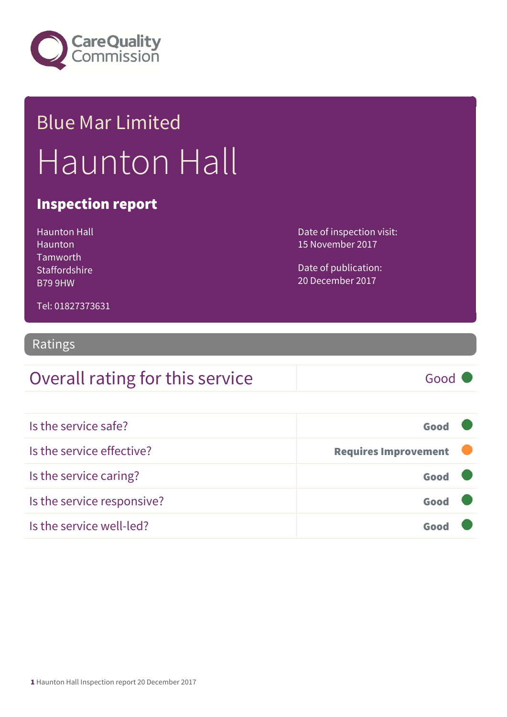

## Blue Mar Limited Haunton Hall

#### Inspection report

Haunton Hall **Haunton** Tamworth **Staffordshire** B79 9HW

Date of inspection visit: 15 November 2017

Date of publication: 20 December 2017

Tel: 01827373631

#### Ratings

#### Overall rating for this service Good

| Is the service safe?       | Good                        |  |
|----------------------------|-----------------------------|--|
| Is the service effective?  | <b>Requires Improvement</b> |  |
| Is the service caring?     | Good                        |  |
| Is the service responsive? | Good                        |  |
| Is the service well-led?   |                             |  |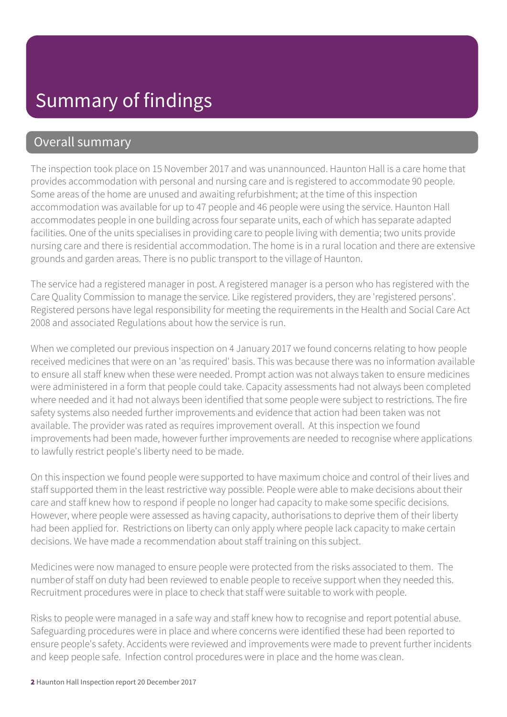#### Overall summary

The inspection took place on 15 November 2017 and was unannounced. Haunton Hall is a care home that provides accommodation with personal and nursing care and is registered to accommodate 90 people. Some areas of the home are unused and awaiting refurbishment; at the time of this inspection accommodation was available for up to 47 people and 46 people were using the service. Haunton Hall accommodates people in one building across four separate units, each of which has separate adapted facilities. One of the units specialises in providing care to people living with dementia; two units provide nursing care and there is residential accommodation. The home is in a rural location and there are extensive grounds and garden areas. There is no public transport to the village of Haunton.

The service had a registered manager in post. A registered manager is a person who has registered with the Care Quality Commission to manage the service. Like registered providers, they are 'registered persons'. Registered persons have legal responsibility for meeting the requirements in the Health and Social Care Act 2008 and associated Regulations about how the service is run.

When we completed our previous inspection on 4 January 2017 we found concerns relating to how people received medicines that were on an 'as required' basis. This was because there was no information available to ensure all staff knew when these were needed. Prompt action was not always taken to ensure medicines were administered in a form that people could take. Capacity assessments had not always been completed where needed and it had not always been identified that some people were subject to restrictions. The fire safety systems also needed further improvements and evidence that action had been taken was not available. The provider was rated as requires improvement overall. At this inspection we found improvements had been made, however further improvements are needed to recognise where applications to lawfully restrict people's liberty need to be made.

On this inspection we found people were supported to have maximum choice and control of their lives and staff supported them in the least restrictive way possible. People were able to make decisions about their care and staff knew how to respond if people no longer had capacity to make some specific decisions. However, where people were assessed as having capacity, authorisations to deprive them of their liberty had been applied for. Restrictions on liberty can only apply where people lack capacity to make certain decisions. We have made a recommendation about staff training on this subject.

Medicines were now managed to ensure people were protected from the risks associated to them. The number of staff on duty had been reviewed to enable people to receive support when they needed this. Recruitment procedures were in place to check that staff were suitable to work with people.

Risks to people were managed in a safe way and staff knew how to recognise and report potential abuse. Safeguarding procedures were in place and where concerns were identified these had been reported to ensure people's safety. Accidents were reviewed and improvements were made to prevent further incidents and keep people safe. Infection control procedures were in place and the home was clean.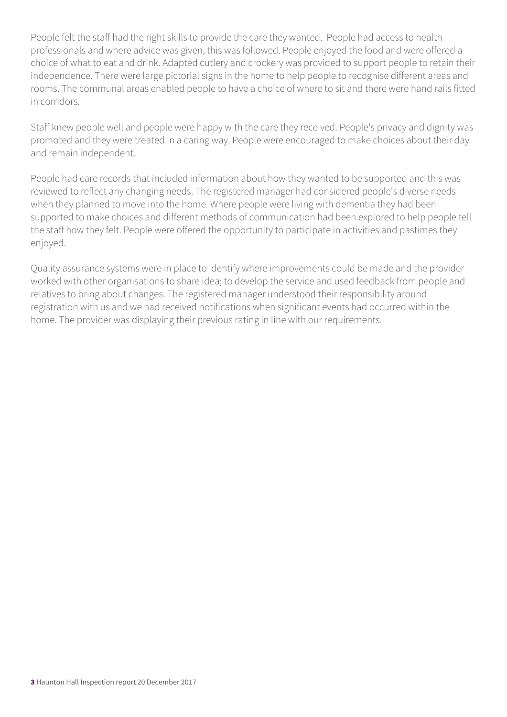People felt the staff had the right skills to provide the care they wanted. People had access to health professionals and where advice was given, this was followed. People enjoyed the food and were offered a choice of what to eat and drink. Adapted cutlery and crockery was provided to support people to retain their independence. There were large pictorial signs in the home to help people to recognise different areas and rooms. The communal areas enabled people to have a choice of where to sit and there were hand rails fitted in corridors.

Staff knew people well and people were happy with the care they received. People's privacy and dignity was promoted and they were treated in a caring way. People were encouraged to make choices about their day and remain independent.

People had care records that included information about how they wanted to be supported and this was reviewed to reflect any changing needs. The registered manager had considered people's diverse needs when they planned to move into the home. Where people were living with dementia they had been supported to make choices and different methods of communication had been explored to help people tell the staff how they felt. People were offered the opportunity to participate in activities and pastimes they enjoyed.

Quality assurance systems were in place to identify where improvements could be made and the provider worked with other organisations to share idea; to develop the service and used feedback from people and relatives to bring about changes. The registered manager understood their responsibility around registration with us and we had received notifications when significant events had occurred within the home. The provider was displaying their previous rating in line with our requirements.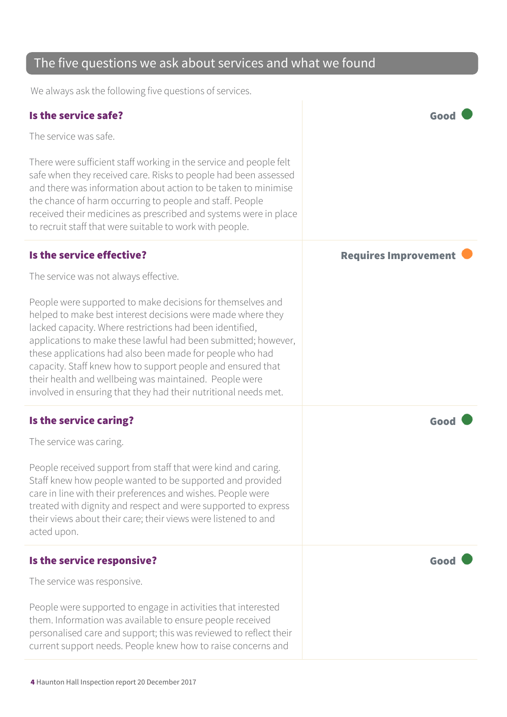#### The five questions we ask about services and what we found

We always ask the following five questions of services.

| Is the service safe?                                                                                                                                                                                                                                                                                                                                                                                                                                                                                            | Good                        |
|-----------------------------------------------------------------------------------------------------------------------------------------------------------------------------------------------------------------------------------------------------------------------------------------------------------------------------------------------------------------------------------------------------------------------------------------------------------------------------------------------------------------|-----------------------------|
| The service was safe.                                                                                                                                                                                                                                                                                                                                                                                                                                                                                           |                             |
| There were sufficient staff working in the service and people felt<br>safe when they received care. Risks to people had been assessed<br>and there was information about action to be taken to minimise<br>the chance of harm occurring to people and staff. People<br>received their medicines as prescribed and systems were in place<br>to recruit staff that were suitable to work with people.                                                                                                             |                             |
| Is the service effective?                                                                                                                                                                                                                                                                                                                                                                                                                                                                                       | <b>Requires Improvement</b> |
| The service was not always effective.                                                                                                                                                                                                                                                                                                                                                                                                                                                                           |                             |
| People were supported to make decisions for themselves and<br>helped to make best interest decisions were made where they<br>lacked capacity. Where restrictions had been identified,<br>applications to make these lawful had been submitted; however,<br>these applications had also been made for people who had<br>capacity. Staff knew how to support people and ensured that<br>their health and wellbeing was maintained. People were<br>involved in ensuring that they had their nutritional needs met. |                             |
| Is the service caring?                                                                                                                                                                                                                                                                                                                                                                                                                                                                                          | Good                        |
| The service was caring.                                                                                                                                                                                                                                                                                                                                                                                                                                                                                         |                             |
| People received support from staff that were kind and caring.<br>Staff knew how people wanted to be supported and provided<br>care in line with their preferences and wishes. People were<br>treated with dignity and respect and were supported to express<br>their views about their care; their views were listened to and<br>acted upon.                                                                                                                                                                    |                             |
| Is the service responsive?                                                                                                                                                                                                                                                                                                                                                                                                                                                                                      | Good                        |
| The service was responsive.                                                                                                                                                                                                                                                                                                                                                                                                                                                                                     |                             |
| People were supported to engage in activities that interested<br>them. Information was available to ensure people received<br>personalised care and support; this was reviewed to reflect their<br>current support needs. People knew how to raise concerns and                                                                                                                                                                                                                                                 |                             |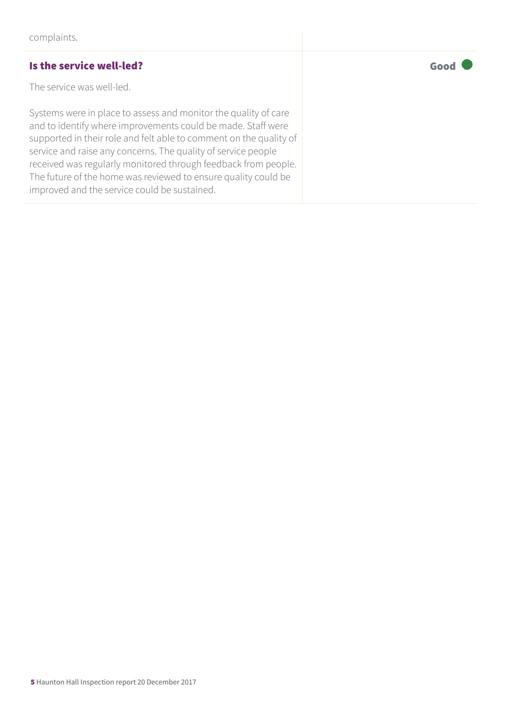#### Is the service well-led? The service well-led?

The service was well-led.

Systems were in place to assess and monitor the quality of care and to identify where improvements could be made. Staff were supported in their role and felt able to comment on the quality of service and raise any concerns. The quality of service people received was regularly monitored through feedback from people. The future of the home was reviewed to ensure quality could be improved and the service could be sustained.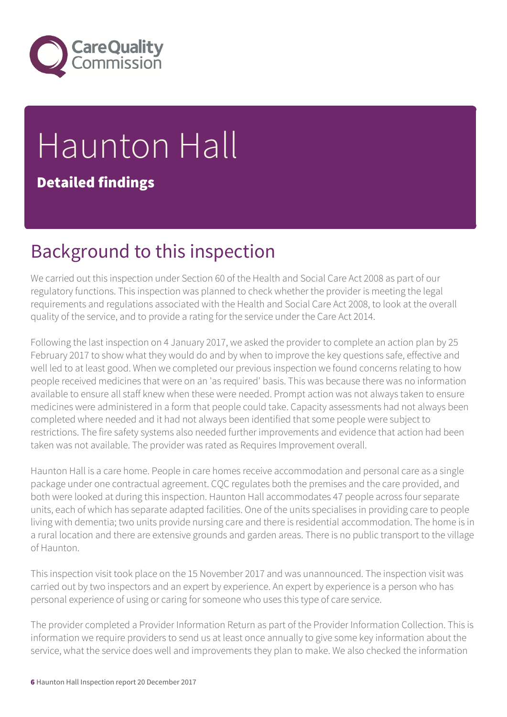

# Haunton Hall

Detailed findings

## Background to this inspection

We carried out this inspection under Section 60 of the Health and Social Care Act 2008 as part of our regulatory functions. This inspection was planned to check whether the provider is meeting the legal requirements and regulations associated with the Health and Social Care Act 2008, to look at the overall quality of the service, and to provide a rating for the service under the Care Act 2014.

Following the last inspection on 4 January 2017, we asked the provider to complete an action plan by 25 February 2017 to show what they would do and by when to improve the key questions safe, effective and well led to at least good. When we completed our previous inspection we found concerns relating to how people received medicines that were on an 'as required' basis. This was because there was no information available to ensure all staff knew when these were needed. Prompt action was not always taken to ensure medicines were administered in a form that people could take. Capacity assessments had not always been completed where needed and it had not always been identified that some people were subject to restrictions. The fire safety systems also needed further improvements and evidence that action had been taken was not available. The provider was rated as Requires Improvement overall.

Haunton Hall is a care home. People in care homes receive accommodation and personal care as a single package under one contractual agreement. CQC regulates both the premises and the care provided, and both were looked at during this inspection. Haunton Hall accommodates 47 people across four separate units, each of which has separate adapted facilities. One of the units specialises in providing care to people living with dementia; two units provide nursing care and there is residential accommodation. The home is in a rural location and there are extensive grounds and garden areas. There is no public transport to the village of Haunton.

This inspection visit took place on the 15 November 2017 and was unannounced. The inspection visit was carried out by two inspectors and an expert by experience. An expert by experience is a person who has personal experience of using or caring for someone who uses this type of care service.

The provider completed a Provider Information Return as part of the Provider Information Collection. This is information we require providers to send us at least once annually to give some key information about the service, what the service does well and improvements they plan to make. We also checked the information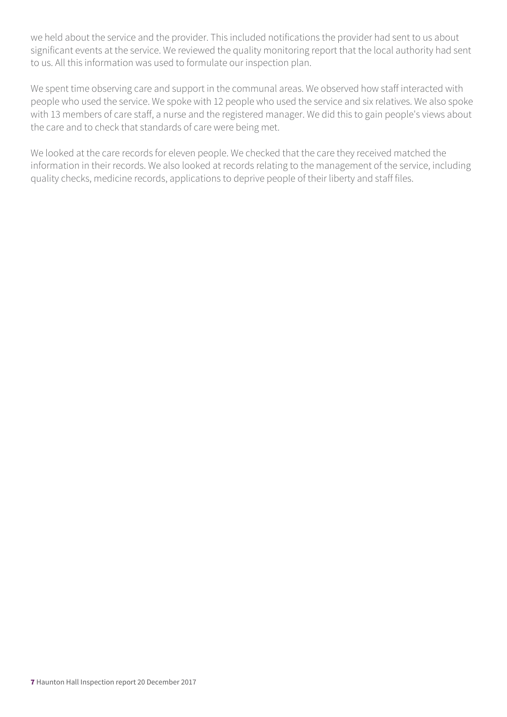we held about the service and the provider. This included notifications the provider had sent to us about significant events at the service. We reviewed the quality monitoring report that the local authority had sent to us. All this information was used to formulate our inspection plan.

We spent time observing care and support in the communal areas. We observed how staff interacted with people who used the service. We spoke with 12 people who used the service and six relatives. We also spoke with 13 members of care staff, a nurse and the registered manager. We did this to gain people's views about the care and to check that standards of care were being met.

We looked at the care records for eleven people. We checked that the care they received matched the information in their records. We also looked at records relating to the management of the service, including quality checks, medicine records, applications to deprive people of their liberty and staff files.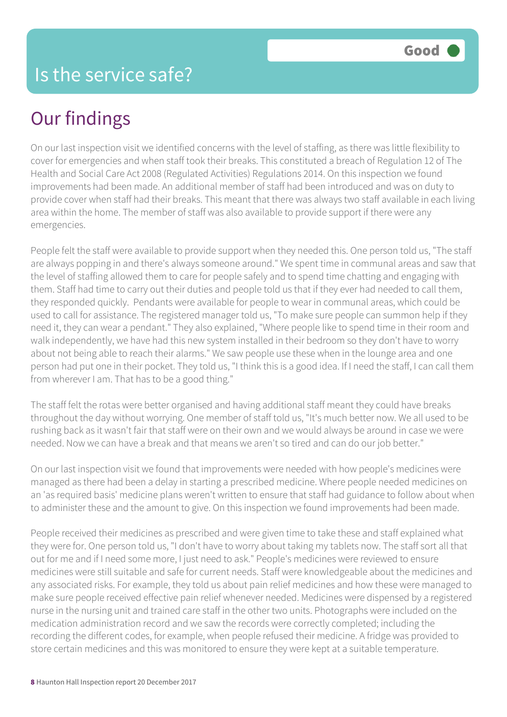## Our findings

On our last inspection visit we identified concerns with the level of staffing, as there was little flexibility to cover for emergencies and when staff took their breaks. This constituted a breach of Regulation 12 of The Health and Social Care Act 2008 (Regulated Activities) Regulations 2014. On this inspection we found improvements had been made. An additional member of staff had been introduced and was on duty to provide cover when staff had their breaks. This meant that there was always two staff available in each living area within the home. The member of staff was also available to provide support if there were any emergencies.

People felt the staff were available to provide support when they needed this. One person told us, "The staff are always popping in and there's always someone around." We spent time in communal areas and saw that the level of staffing allowed them to care for people safely and to spend time chatting and engaging with them. Staff had time to carry out their duties and people told us that if they ever had needed to call them, they responded quickly. Pendants were available for people to wear in communal areas, which could be used to call for assistance. The registered manager told us, "To make sure people can summon help if they need it, they can wear a pendant." They also explained, "Where people like to spend time in their room and walk independently, we have had this new system installed in their bedroom so they don't have to worry about not being able to reach their alarms." We saw people use these when in the lounge area and one person had put one in their pocket. They told us, "I think this is a good idea. If I need the staff, I can call them from wherever I am. That has to be a good thing."

The staff felt the rotas were better organised and having additional staff meant they could have breaks throughout the day without worrying. One member of staff told us, "It's much better now. We all used to be rushing back as it wasn't fair that staff were on their own and we would always be around in case we were needed. Now we can have a break and that means we aren't so tired and can do our job better."

On our last inspection visit we found that improvements were needed with how people's medicines were managed as there had been a delay in starting a prescribed medicine. Where people needed medicines on an 'as required basis' medicine plans weren't written to ensure that staff had guidance to follow about when to administer these and the amount to give. On this inspection we found improvements had been made.

People received their medicines as prescribed and were given time to take these and staff explained what they were for. One person told us, "I don't have to worry about taking my tablets now. The staff sort all that out for me and if I need some more, I just need to ask." People's medicines were reviewed to ensure medicines were still suitable and safe for current needs. Staff were knowledgeable about the medicines and any associated risks. For example, they told us about pain relief medicines and how these were managed to make sure people received effective pain relief whenever needed. Medicines were dispensed by a registered nurse in the nursing unit and trained care staff in the other two units. Photographs were included on the medication administration record and we saw the records were correctly completed; including the recording the different codes, for example, when people refused their medicine. A fridge was provided to store certain medicines and this was monitored to ensure they were kept at a suitable temperature.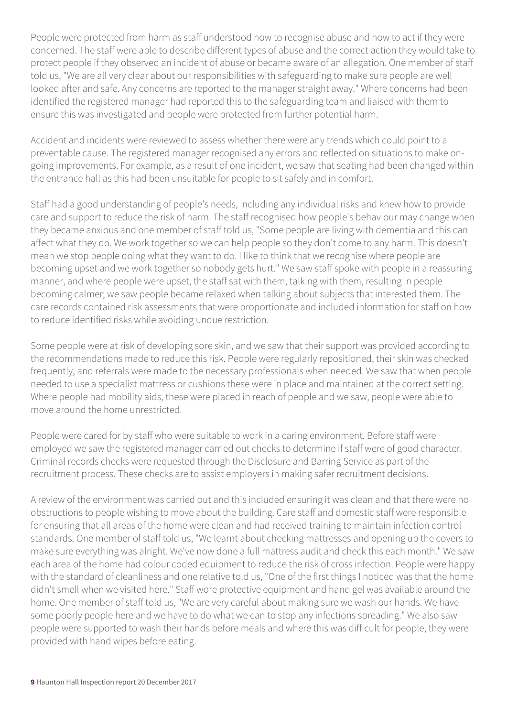People were protected from harm as staff understood how to recognise abuse and how to act if they were concerned. The staff were able to describe different types of abuse and the correct action they would take to protect people if they observed an incident of abuse or became aware of an allegation. One member of staff told us, "We are all very clear about our responsibilities with safeguarding to make sure people are well looked after and safe. Any concerns are reported to the manager straight away." Where concerns had been identified the registered manager had reported this to the safeguarding team and liaised with them to ensure this was investigated and people were protected from further potential harm.

Accident and incidents were reviewed to assess whether there were any trends which could point to a preventable cause. The registered manager recognised any errors and reflected on situations to make ongoing improvements. For example, as a result of one incident, we saw that seating had been changed within the entrance hall as this had been unsuitable for people to sit safely and in comfort.

Staff had a good understanding of people's needs, including any individual risks and knew how to provide care and support to reduce the risk of harm. The staff recognised how people's behaviour may change when they became anxious and one member of staff told us, "Some people are living with dementia and this can affect what they do. We work together so we can help people so they don't come to any harm. This doesn't mean we stop people doing what they want to do. I like to think that we recognise where people are becoming upset and we work together so nobody gets hurt." We saw staff spoke with people in a reassuring manner, and where people were upset, the staff sat with them, talking with them, resulting in people becoming calmer; we saw people became relaxed when talking about subjects that interested them. The care records contained risk assessments that were proportionate and included information for staff on how to reduce identified risks while avoiding undue restriction.

Some people were at risk of developing sore skin, and we saw that their support was provided according to the recommendations made to reduce this risk. People were regularly repositioned, their skin was checked frequently, and referrals were made to the necessary professionals when needed. We saw that when people needed to use a specialist mattress or cushions these were in place and maintained at the correct setting. Where people had mobility aids, these were placed in reach of people and we saw, people were able to move around the home unrestricted.

People were cared for by staff who were suitable to work in a caring environment. Before staff were employed we saw the registered manager carried out checks to determine if staff were of good character. Criminal records checks were requested through the Disclosure and Barring Service as part of the recruitment process. These checks are to assist employers in making safer recruitment decisions.

A review of the environment was carried out and this included ensuring it was clean and that there were no obstructions to people wishing to move about the building. Care staff and domestic staff were responsible for ensuring that all areas of the home were clean and had received training to maintain infection control standards. One member of staff told us, "We learnt about checking mattresses and opening up the covers to make sure everything was alright. We've now done a full mattress audit and check this each month." We saw each area of the home had colour coded equipment to reduce the risk of cross infection. People were happy with the standard of cleanliness and one relative told us, "One of the first things I noticed was that the home didn't smell when we visited here." Staff wore protective equipment and hand gel was available around the home. One member of staff told us, "We are very careful about making sure we wash our hands. We have some poorly people here and we have to do what we can to stop any infections spreading." We also saw people were supported to wash their hands before meals and where this was difficult for people, they were provided with hand wipes before eating.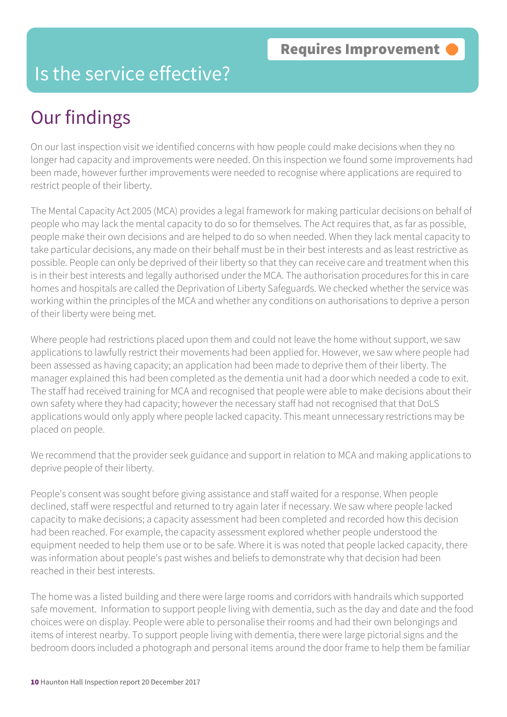#### Is the service effective?

## Our findings

On our last inspection visit we identified concerns with how people could make decisions when they no longer had capacity and improvements were needed. On this inspection we found some improvements had been made, however further improvements were needed to recognise where applications are required to restrict people of their liberty.

The Mental Capacity Act 2005 (MCA) provides a legal framework for making particular decisions on behalf of people who may lack the mental capacity to do so for themselves. The Act requires that, as far as possible, people make their own decisions and are helped to do so when needed. When they lack mental capacity to take particular decisions, any made on their behalf must be in their best interests and as least restrictive as possible. People can only be deprived of their liberty so that they can receive care and treatment when this is in their best interests and legally authorised under the MCA. The authorisation procedures for this in care homes and hospitals are called the Deprivation of Liberty Safeguards. We checked whether the service was working within the principles of the MCA and whether any conditions on authorisations to deprive a person of their liberty were being met.

Where people had restrictions placed upon them and could not leave the home without support, we saw applications to lawfully restrict their movements had been applied for. However, we saw where people had been assessed as having capacity; an application had been made to deprive them of their liberty. The manager explained this had been completed as the dementia unit had a door which needed a code to exit. The staff had received training for MCA and recognised that people were able to make decisions about their own safety where they had capacity; however the necessary staff had not recognised that that DoLS applications would only apply where people lacked capacity. This meant unnecessary restrictions may be placed on people.

We recommend that the provider seek guidance and support in relation to MCA and making applications to deprive people of their liberty.

People's consent was sought before giving assistance and staff waited for a response. When people declined, staff were respectful and returned to try again later if necessary. We saw where people lacked capacity to make decisions; a capacity assessment had been completed and recorded how this decision had been reached. For example, the capacity assessment explored whether people understood the equipment needed to help them use or to be safe. Where it is was noted that people lacked capacity, there was information about people's past wishes and beliefs to demonstrate why that decision had been reached in their best interests.

The home was a listed building and there were large rooms and corridors with handrails which supported safe movement. Information to support people living with dementia, such as the day and date and the food choices were on display. People were able to personalise their rooms and had their own belongings and items of interest nearby. To support people living with dementia, there were large pictorial signs and the bedroom doors included a photograph and personal items around the door frame to help them be familiar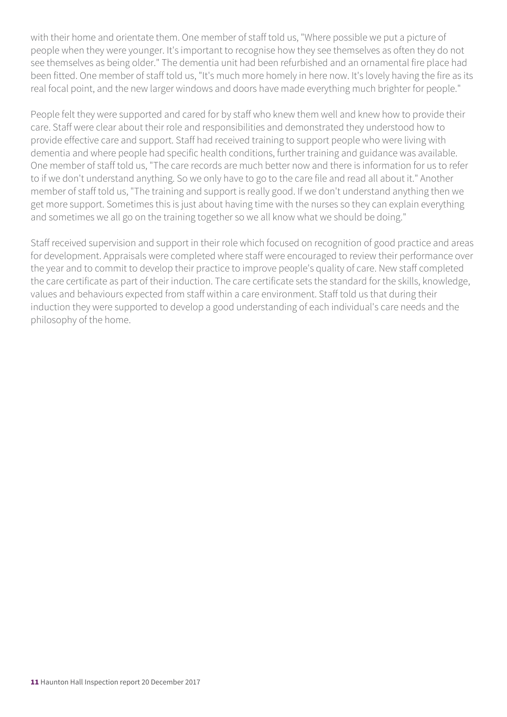with their home and orientate them. One member of staff told us, "Where possible we put a picture of people when they were younger. It's important to recognise how they see themselves as often they do not see themselves as being older." The dementia unit had been refurbished and an ornamental fire place had been fitted. One member of staff told us, "It's much more homely in here now. It's lovely having the fire as its real focal point, and the new larger windows and doors have made everything much brighter for people."

People felt they were supported and cared for by staff who knew them well and knew how to provide their care. Staff were clear about their role and responsibilities and demonstrated they understood how to provide effective care and support. Staff had received training to support people who were living with dementia and where people had specific health conditions, further training and guidance was available. One member of staff told us, "The care records are much better now and there is information for us to refer to if we don't understand anything. So we only have to go to the care file and read all about it." Another member of staff told us, "The training and support is really good. If we don't understand anything then we get more support. Sometimes this is just about having time with the nurses so they can explain everything and sometimes we all go on the training together so we all know what we should be doing."

Staff received supervision and support in their role which focused on recognition of good practice and areas for development. Appraisals were completed where staff were encouraged to review their performance over the year and to commit to develop their practice to improve people's quality of care. New staff completed the care certificate as part of their induction. The care certificate sets the standard for the skills, knowledge, values and behaviours expected from staff within a care environment. Staff told us that during their induction they were supported to develop a good understanding of each individual's care needs and the philosophy of the home.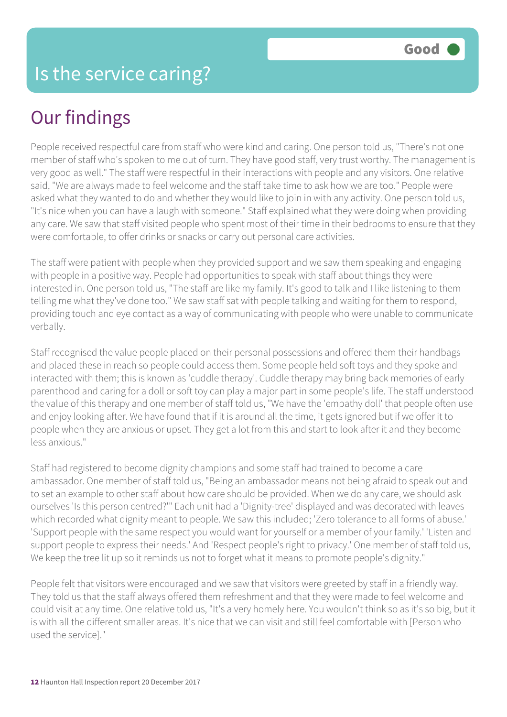## Our findings

People received respectful care from staff who were kind and caring. One person told us, "There's not one member of staff who's spoken to me out of turn. They have good staff, very trust worthy. The management is very good as well." The staff were respectful in their interactions with people and any visitors. One relative said, "We are always made to feel welcome and the staff take time to ask how we are too." People were asked what they wanted to do and whether they would like to join in with any activity. One person told us, "It's nice when you can have a laugh with someone." Staff explained what they were doing when providing any care. We saw that staff visited people who spent most of their time in their bedrooms to ensure that they were comfortable, to offer drinks or snacks or carry out personal care activities.

The staff were patient with people when they provided support and we saw them speaking and engaging with people in a positive way. People had opportunities to speak with staff about things they were interested in. One person told us, "The staff are like my family. It's good to talk and I like listening to them telling me what they've done too." We saw staff sat with people talking and waiting for them to respond, providing touch and eye contact as a way of communicating with people who were unable to communicate verbally.

Staff recognised the value people placed on their personal possessions and offered them their handbags and placed these in reach so people could access them. Some people held soft toys and they spoke and interacted with them; this is known as 'cuddle therapy'. Cuddle therapy may bring back memories of early parenthood and caring for a doll or soft toy can play a major part in some people's life. The staff understood the value of this therapy and one member of staff told us, "We have the 'empathy doll' that people often use and enjoy looking after. We have found that if it is around all the time, it gets ignored but if we offer it to people when they are anxious or upset. They get a lot from this and start to look after it and they become less anxious."

Staff had registered to become dignity champions and some staff had trained to become a care ambassador. One member of staff told us, "Being an ambassador means not being afraid to speak out and to set an example to other staff about how care should be provided. When we do any care, we should ask ourselves 'Is this person centred?'" Each unit had a 'Dignity-tree' displayed and was decorated with leaves which recorded what dignity meant to people. We saw this included; 'Zero tolerance to all forms of abuse.' 'Support people with the same respect you would want for yourself or a member of your family.' 'Listen and support people to express their needs.' And 'Respect people's right to privacy.' One member of staff told us, We keep the tree lit up so it reminds us not to forget what it means to promote people's dignity."

People felt that visitors were encouraged and we saw that visitors were greeted by staff in a friendly way. They told us that the staff always offered them refreshment and that they were made to feel welcome and could visit at any time. One relative told us, "It's a very homely here. You wouldn't think so as it's so big, but it is with all the different smaller areas. It's nice that we can visit and still feel comfortable with [Person who used the service]."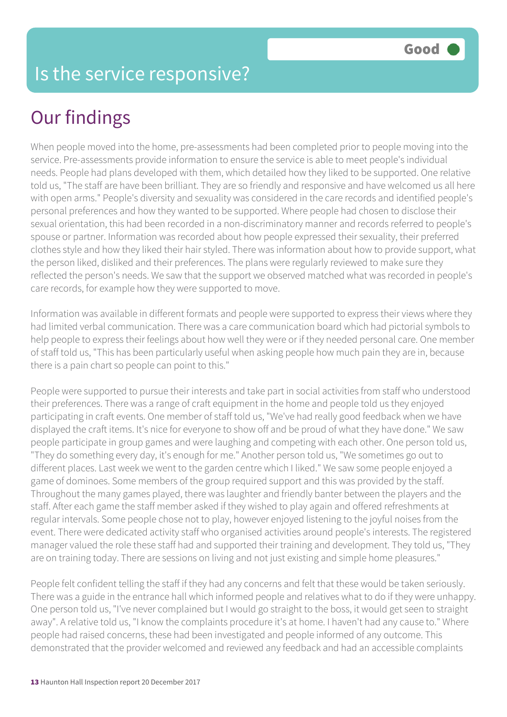#### Is the service responsive?

## Our findings

When people moved into the home, pre-assessments had been completed prior to people moving into the service. Pre-assessments provide information to ensure the service is able to meet people's individual needs. People had plans developed with them, which detailed how they liked to be supported. One relative told us, "The staff are have been brilliant. They are so friendly and responsive and have welcomed us all here with open arms." People's diversity and sexuality was considered in the care records and identified people's personal preferences and how they wanted to be supported. Where people had chosen to disclose their sexual orientation, this had been recorded in a non-discriminatory manner and records referred to people's spouse or partner. Information was recorded about how people expressed their sexuality, their preferred clothes style and how they liked their hair styled. There was information about how to provide support, what the person liked, disliked and their preferences. The plans were regularly reviewed to make sure they reflected the person's needs. We saw that the support we observed matched what was recorded in people's care records, for example how they were supported to move.

Information was available in different formats and people were supported to express their views where they had limited verbal communication. There was a care communication board which had pictorial symbols to help people to express their feelings about how well they were or if they needed personal care. One member of staff told us, "This has been particularly useful when asking people how much pain they are in, because there is a pain chart so people can point to this."

People were supported to pursue their interests and take part in social activities from staff who understood their preferences. There was a range of craft equipment in the home and people told us they enjoyed participating in craft events. One member of staff told us, "We've had really good feedback when we have displayed the craft items. It's nice for everyone to show off and be proud of what they have done." We saw people participate in group games and were laughing and competing with each other. One person told us, "They do something every day, it's enough for me." Another person told us, "We sometimes go out to different places. Last week we went to the garden centre which I liked." We saw some people enjoyed a game of dominoes. Some members of the group required support and this was provided by the staff. Throughout the many games played, there was laughter and friendly banter between the players and the staff. After each game the staff member asked if they wished to play again and offered refreshments at regular intervals. Some people chose not to play, however enjoyed listening to the joyful noises from the event. There were dedicated activity staff who organised activities around people's interests. The registered manager valued the role these staff had and supported their training and development. They told us, "They are on training today. There are sessions on living and not just existing and simple home pleasures."

People felt confident telling the staff if they had any concerns and felt that these would be taken seriously. There was a guide in the entrance hall which informed people and relatives what to do if they were unhappy. One person told us, "I've never complained but I would go straight to the boss, it would get seen to straight away". A relative told us, "I know the complaints procedure it's at home. I haven't had any cause to." Where people had raised concerns, these had been investigated and people informed of any outcome. This demonstrated that the provider welcomed and reviewed any feedback and had an accessible complaints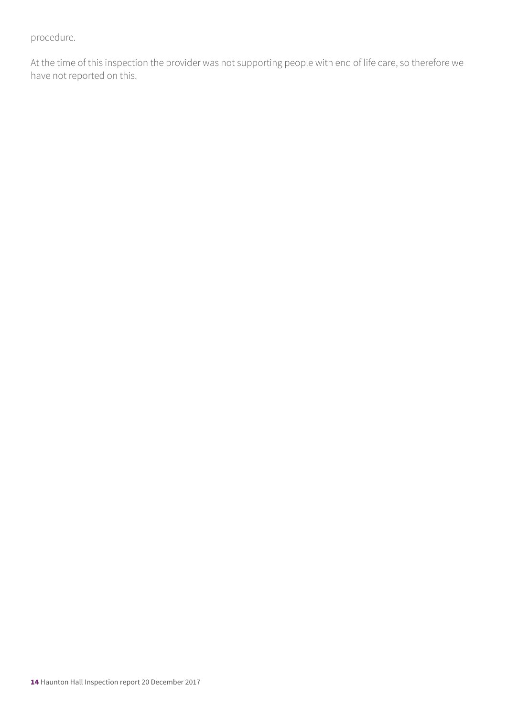procedure.

At the time of this inspection the provider was not supporting people with end of life care, so therefore we have not reported on this.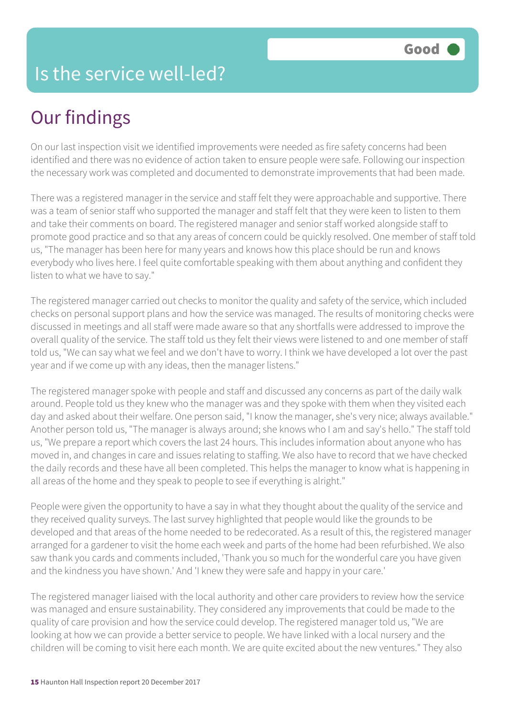## Our findings

On our last inspection visit we identified improvements were needed as fire safety concerns had been identified and there was no evidence of action taken to ensure people were safe. Following our inspection the necessary work was completed and documented to demonstrate improvements that had been made.

There was a registered manager in the service and staff felt they were approachable and supportive. There was a team of senior staff who supported the manager and staff felt that they were keen to listen to them and take their comments on board. The registered manager and senior staff worked alongside staff to promote good practice and so that any areas of concern could be quickly resolved. One member of staff told us, "The manager has been here for many years and knows how this place should be run and knows everybody who lives here. I feel quite comfortable speaking with them about anything and confident they listen to what we have to say."

The registered manager carried out checks to monitor the quality and safety of the service, which included checks on personal support plans and how the service was managed. The results of monitoring checks were discussed in meetings and all staff were made aware so that any shortfalls were addressed to improve the overall quality of the service. The staff told us they felt their views were listened to and one member of staff told us, "We can say what we feel and we don't have to worry. I think we have developed a lot over the past year and if we come up with any ideas, then the manager listens."

The registered manager spoke with people and staff and discussed any concerns as part of the daily walk around. People told us they knew who the manager was and they spoke with them when they visited each day and asked about their welfare. One person said, "I know the manager, she's very nice; always available." Another person told us, "The manager is always around; she knows who I am and say's hello." The staff told us, "We prepare a report which covers the last 24 hours. This includes information about anyone who has moved in, and changes in care and issues relating to staffing. We also have to record that we have checked the daily records and these have all been completed. This helps the manager to know what is happening in all areas of the home and they speak to people to see if everything is alright."

People were given the opportunity to have a say in what they thought about the quality of the service and they received quality surveys. The last survey highlighted that people would like the grounds to be developed and that areas of the home needed to be redecorated. As a result of this, the registered manager arranged for a gardener to visit the home each week and parts of the home had been refurbished. We also saw thank you cards and comments included, 'Thank you so much for the wonderful care you have given and the kindness you have shown.' And 'I knew they were safe and happy in your care.'

The registered manager liaised with the local authority and other care providers to review how the service was managed and ensure sustainability. They considered any improvements that could be made to the quality of care provision and how the service could develop. The registered manager told us, "We are looking at how we can provide a better service to people. We have linked with a local nursery and the children will be coming to visit here each month. We are quite excited about the new ventures." They also